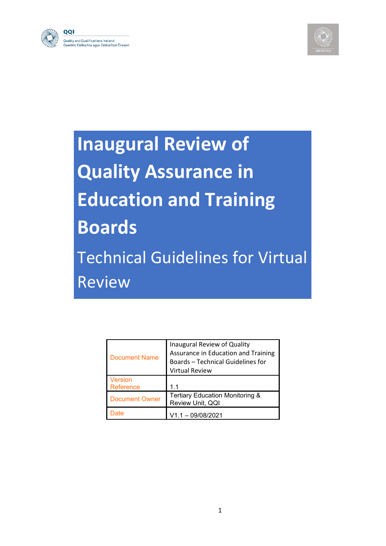



# **Inaugural Review of Quality Assurance in Education and Training Boards** Technical Guidelines for Virtual **Review**

| <b>Document Name</b>  | Inaugural Review of Quality<br>Assurance in Education and Training<br><b>Boards-Technical Guidelines for</b><br><b>Virtual Review</b> |
|-----------------------|---------------------------------------------------------------------------------------------------------------------------------------|
| Version<br>Reference  | 1 <sub>1</sub>                                                                                                                        |
| <b>Document Owner</b> | <b>Tertiary Education Monitoring &amp;</b><br>Review Unit, QQI                                                                        |
|                       | $V1.1 - 09/08/2021$                                                                                                                   |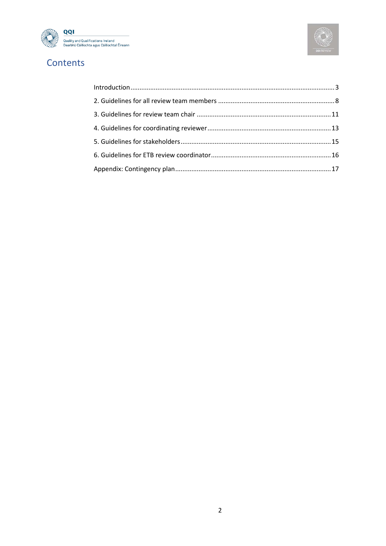



# Contents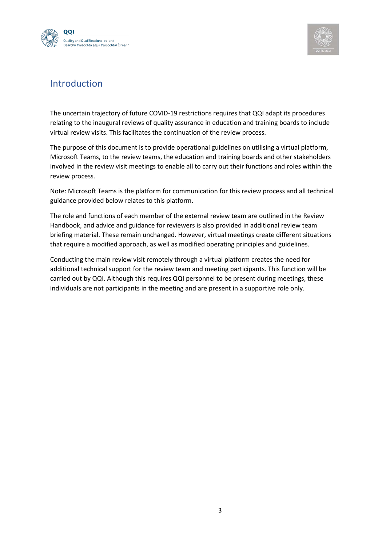



#### <span id="page-2-0"></span>Introduction

The uncertain trajectory of future COVID-19 restrictions requires that QQI adapt its procedures relating to the inaugural reviews of quality assurance in education and training boards to include virtual review visits. This facilitates the continuation of the review process.

The purpose of this document is to provide operational guidelines on utilising a virtual platform, Microsoft Teams, to the review teams, the education and training boards and other stakeholders involved in the review visit meetings to enable all to carry out their functions and roles within the review process.

Note: Microsoft Teams is the platform for communication for this review process and all technical guidance provided below relates to this platform.

The role and functions of each member of the external review team are outlined in the Review Handbook, and advice and guidance for reviewers is also provided in additional review team briefing material. These remain unchanged. However, virtual meetings create different situations that require a modified approach, as well as modified operating principles and guidelines.

Conducting the main review visit remotely through a virtual platform creates the need for additional technical support for the review team and meeting participants. This function will be carried out by QQI. Although this requires QQI personnel to be present during meetings, these individuals are not participants in the meeting and are present in a supportive role only.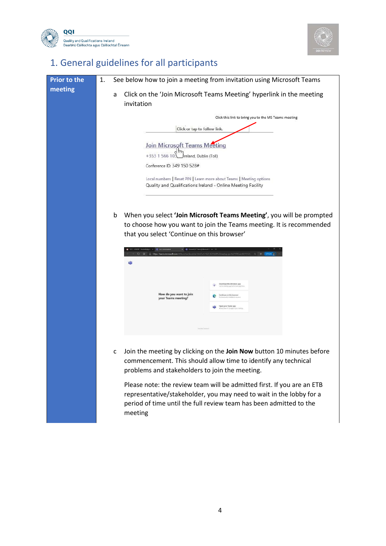



# 1. General guidelines for all participants

| <b>Prior to the</b> | See below how to join a meeting from invitation using Microsoft Teams<br>1.                                                                                                                                                                                                                                                                                                                                                                                                                                                 |
|---------------------|-----------------------------------------------------------------------------------------------------------------------------------------------------------------------------------------------------------------------------------------------------------------------------------------------------------------------------------------------------------------------------------------------------------------------------------------------------------------------------------------------------------------------------|
| meeting             | Click on the 'Join Microsoft Teams Meeting' hyperlink in the meeting<br>а<br>invitation                                                                                                                                                                                                                                                                                                                                                                                                                                     |
|                     | Click this link to bring you to the MS Teams meeting                                                                                                                                                                                                                                                                                                                                                                                                                                                                        |
|                     | Click or tap to follow link.                                                                                                                                                                                                                                                                                                                                                                                                                                                                                                |
|                     | Join Microsoft Teams Meeting                                                                                                                                                                                                                                                                                                                                                                                                                                                                                                |
|                     | +353 1 566 103<br>Areland, Dublin (Toll)                                                                                                                                                                                                                                                                                                                                                                                                                                                                                    |
|                     | Conference ID: 349 150 528#                                                                                                                                                                                                                                                                                                                                                                                                                                                                                                 |
|                     | Local numbers   Reset PIN   Learn more about Teams   Meeting options                                                                                                                                                                                                                                                                                                                                                                                                                                                        |
|                     | Quality and Qualifications Ireland - Online Meeting Facility                                                                                                                                                                                                                                                                                                                                                                                                                                                                |
|                     |                                                                                                                                                                                                                                                                                                                                                                                                                                                                                                                             |
|                     | When you select 'Join Microsoft Teams Meeting', you will be prompted<br>b<br>to choose how you want to join the Teams meeting. It is recommended<br>that you select 'Continue on this browser'<br>x = sig Ceneral (ICT Team)   Microsoft 1 - x   +<br>https://teams.microsoft.com/di/launcher/launcher.html?url=%2f_%23%2fl%2fmeetup-join%2f19%3a2d6210122. p. y= y= http://<br>$C - \Omega$<br>哺<br>Download the Windows app<br>How do you want to join<br>ue on this browse<br>your Teams meeting?<br>Open your Teams app |
|                     | Join the meeting by clicking on the Join Now button 10 minutes before<br>$\mathsf{C}$<br>commencement. This should allow time to identify any technical<br>problems and stakeholders to join the meeting.                                                                                                                                                                                                                                                                                                                   |
|                     | Please note: the review team will be admitted first. If you are an ETB<br>representative/stakeholder, you may need to wait in the lobby for a<br>period of time until the full review team has been admitted to the<br>meeting                                                                                                                                                                                                                                                                                              |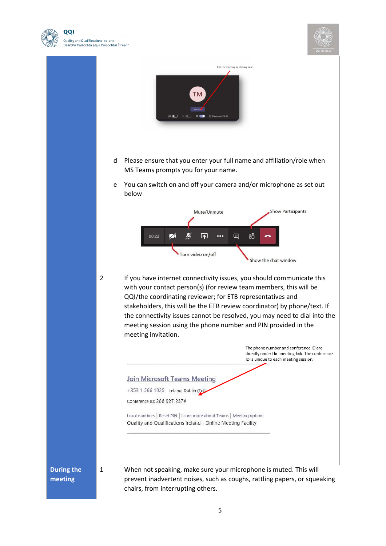



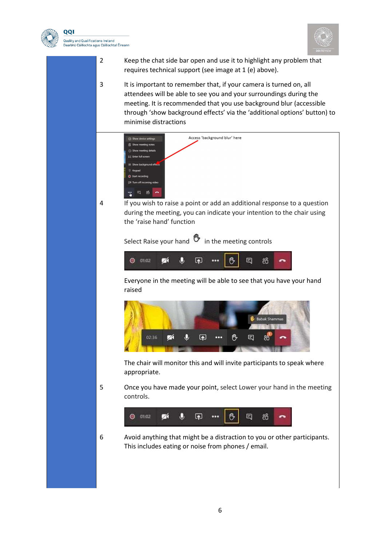

QQI .<br>Quality and Qualifications Ireland Dearbhú Cáilíochta agus Cáilíochtaí Éireann



2 Keep the chat side bar open and use it to highlight any problem that requires technical support (see image at 1 (e) above).

3 It is important to remember that, if your camera is turned on, all attendees will be able to see you and your surroundings during the meeting. It is recommended that you use background blur (accessible through 'show background effects' via the 'additional options' button) to minimise distractions

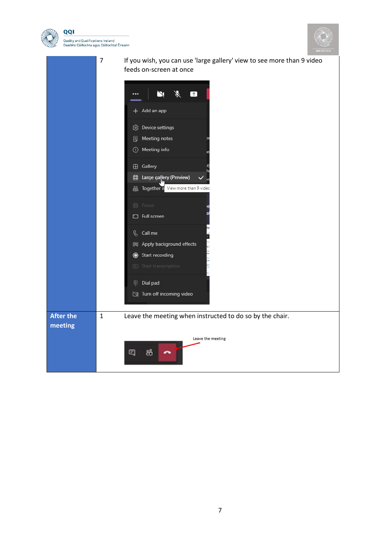



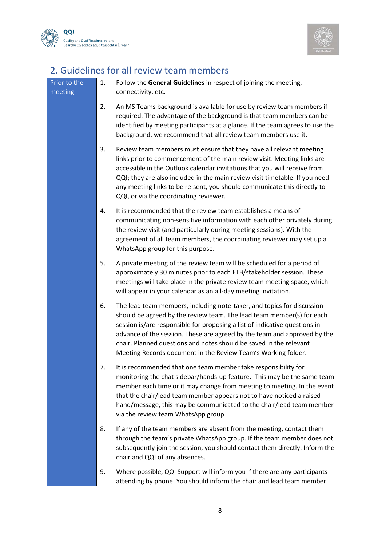



### <span id="page-7-0"></span>2. Guidelines for all review team members

| Prior to the<br>meeting | 1. | Follow the General Guidelines in respect of joining the meeting,<br>connectivity, etc.                                                                                                                                                                                                                                                                                                                                                           |
|-------------------------|----|--------------------------------------------------------------------------------------------------------------------------------------------------------------------------------------------------------------------------------------------------------------------------------------------------------------------------------------------------------------------------------------------------------------------------------------------------|
|                         | 2. | An MS Teams background is available for use by review team members if<br>required. The advantage of the background is that team members can be<br>identified by meeting participants at a glance. If the team agrees to use the<br>background, we recommend that all review team members use it.                                                                                                                                                 |
|                         | 3. | Review team members must ensure that they have all relevant meeting<br>links prior to commencement of the main review visit. Meeting links are<br>accessible in the Outlook calendar invitations that you will receive from<br>QQI; they are also included in the main review visit timetable. If you need<br>any meeting links to be re-sent, you should communicate this directly to<br>QQI, or via the coordinating reviewer.                 |
|                         | 4. | It is recommended that the review team establishes a means of<br>communicating non-sensitive information with each other privately during<br>the review visit (and particularly during meeting sessions). With the<br>agreement of all team members, the coordinating reviewer may set up a<br>WhatsApp group for this purpose.                                                                                                                  |
|                         | 5. | A private meeting of the review team will be scheduled for a period of<br>approximately 30 minutes prior to each ETB/stakeholder session. These<br>meetings will take place in the private review team meeting space, which<br>will appear in your calendar as an all-day meeting invitation.                                                                                                                                                    |
|                         | 6. | The lead team members, including note-taker, and topics for discussion<br>should be agreed by the review team. The lead team member(s) for each<br>session is/are responsible for proposing a list of indicative questions in<br>advance of the session. These are agreed by the team and approved by the<br>chair. Planned questions and notes should be saved in the relevant<br>Meeting Records document in the Review Team's Working folder. |
|                         | 7. | It is recommended that one team member take responsibility for<br>monitoring the chat sidebar/hands-up feature. This may be the same team<br>member each time or it may change from meeting to meeting. In the event<br>that the chair/lead team member appears not to have noticed a raised<br>hand/message, this may be communicated to the chair/lead team member<br>via the review team WhatsApp group.                                      |
|                         | 8. | If any of the team members are absent from the meeting, contact them<br>through the team's private WhatsApp group. If the team member does not<br>subsequently join the session, you should contact them directly. Inform the<br>chair and QQI of any absences.                                                                                                                                                                                  |
|                         | 9. | Where possible, QQI Support will inform you if there are any participants<br>attending by phone. You should inform the chair and lead team member.                                                                                                                                                                                                                                                                                               |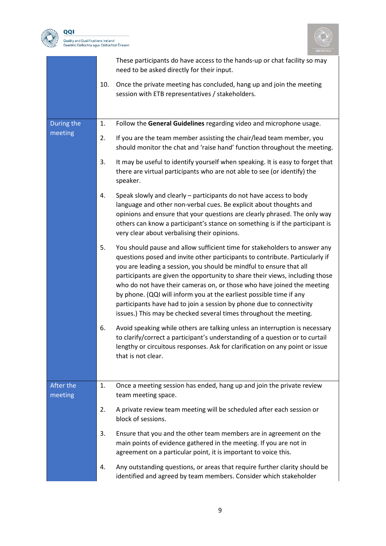



|                      |     | These participants do have access to the hands-up or chat facility so may<br>need to be asked directly for their input.                                                                                                                                                                                                                                                                                                                                                                                                                                                                                         |
|----------------------|-----|-----------------------------------------------------------------------------------------------------------------------------------------------------------------------------------------------------------------------------------------------------------------------------------------------------------------------------------------------------------------------------------------------------------------------------------------------------------------------------------------------------------------------------------------------------------------------------------------------------------------|
|                      | 10. | Once the private meeting has concluded, hang up and join the meeting<br>session with ETB representatives / stakeholders.                                                                                                                                                                                                                                                                                                                                                                                                                                                                                        |
| During the           | 1.  | Follow the General Guidelines regarding video and microphone usage.                                                                                                                                                                                                                                                                                                                                                                                                                                                                                                                                             |
| meeting              | 2.  | If you are the team member assisting the chair/lead team member, you<br>should monitor the chat and 'raise hand' function throughout the meeting.                                                                                                                                                                                                                                                                                                                                                                                                                                                               |
|                      | 3.  | It may be useful to identify yourself when speaking. It is easy to forget that<br>there are virtual participants who are not able to see (or identify) the<br>speaker.                                                                                                                                                                                                                                                                                                                                                                                                                                          |
|                      | 4.  | Speak slowly and clearly - participants do not have access to body<br>language and other non-verbal cues. Be explicit about thoughts and<br>opinions and ensure that your questions are clearly phrased. The only way<br>others can know a participant's stance on something is if the participant is<br>very clear about verbalising their opinions.                                                                                                                                                                                                                                                           |
|                      | 5.  | You should pause and allow sufficient time for stakeholders to answer any<br>questions posed and invite other participants to contribute. Particularly if<br>you are leading a session, you should be mindful to ensure that all<br>participants are given the opportunity to share their views, including those<br>who do not have their cameras on, or those who have joined the meeting<br>by phone. (QQI will inform you at the earliest possible time if any<br>participants have had to join a session by phone due to connectivity<br>issues.) This may be checked several times throughout the meeting. |
|                      | 6.  | Avoid speaking while others are talking unless an interruption is necessary<br>to clarify/correct a participant's understanding of a question or to curtail<br>lengthy or circuitous responses. Ask for clarification on any point or issue<br>that is not clear.                                                                                                                                                                                                                                                                                                                                               |
| After the<br>meeting | 1.  | Once a meeting session has ended, hang up and join the private review<br>team meeting space.                                                                                                                                                                                                                                                                                                                                                                                                                                                                                                                    |
|                      | 2.  | A private review team meeting will be scheduled after each session or<br>block of sessions.                                                                                                                                                                                                                                                                                                                                                                                                                                                                                                                     |
|                      | 3.  | Ensure that you and the other team members are in agreement on the<br>main points of evidence gathered in the meeting. If you are not in<br>agreement on a particular point, it is important to voice this.                                                                                                                                                                                                                                                                                                                                                                                                     |
|                      | 4.  | Any outstanding questions, or areas that require further clarity should be<br>identified and agreed by team members. Consider which stakeholder                                                                                                                                                                                                                                                                                                                                                                                                                                                                 |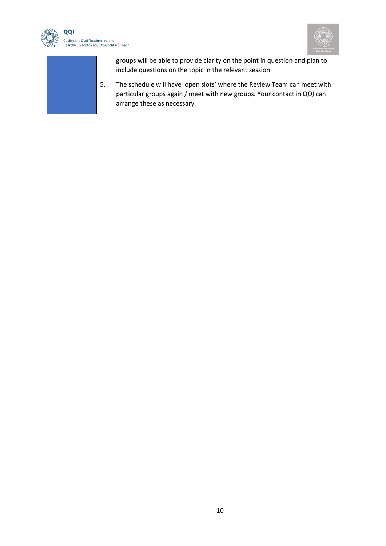



groups will be able to provide clarity on the point in question and plan to include questions on the topic in the relevant session.

5. The schedule will have 'open slots' where the Review Team can meet with particular groups again / meet with new groups. Your contact in QQI can arrange these as necessary.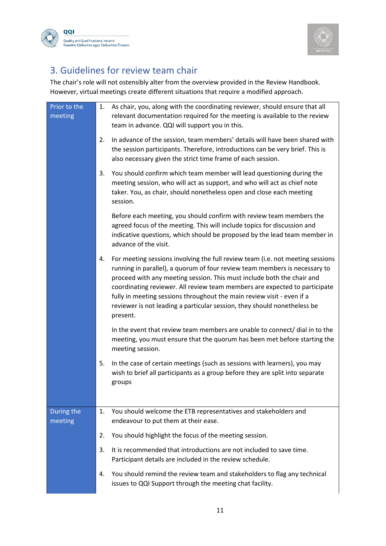



#### <span id="page-10-0"></span>3. Guidelines for review team chair

The chair's role will not ostensibly alter from the overview provided in the Review Handbook. However, virtual meetings create different situations that require a modified approach.

| Prior to the<br>meeting | 1. | As chair, you, along with the coordinating reviewer, should ensure that all<br>relevant documentation required for the meeting is available to the review<br>team in advance. QQI will support you in this.                                                                                                                                                                                                                                                                            |
|-------------------------|----|----------------------------------------------------------------------------------------------------------------------------------------------------------------------------------------------------------------------------------------------------------------------------------------------------------------------------------------------------------------------------------------------------------------------------------------------------------------------------------------|
|                         | 2. | In advance of the session, team members' details will have been shared with<br>the session participants. Therefore, introductions can be very brief. This is<br>also necessary given the strict time frame of each session.                                                                                                                                                                                                                                                            |
|                         | 3. | You should confirm which team member will lead questioning during the<br>meeting session, who will act as support, and who will act as chief note<br>taker. You, as chair, should nonetheless open and close each meeting<br>session.                                                                                                                                                                                                                                                  |
|                         |    | Before each meeting, you should confirm with review team members the<br>agreed focus of the meeting. This will include topics for discussion and<br>indicative questions, which should be proposed by the lead team member in<br>advance of the visit.                                                                                                                                                                                                                                 |
|                         | 4. | For meeting sessions involving the full review team (i.e. not meeting sessions<br>running in parallel), a quorum of four review team members is necessary to<br>proceed with any meeting session. This must include both the chair and<br>coordinating reviewer. All review team members are expected to participate<br>fully in meeting sessions throughout the main review visit - even if a<br>reviewer is not leading a particular session, they should nonetheless be<br>present. |
|                         |    | In the event that review team members are unable to connect/ dial in to the<br>meeting, you must ensure that the quorum has been met before starting the<br>meeting session.                                                                                                                                                                                                                                                                                                           |
|                         | 5. | In the case of certain meetings (such as sessions with learners), you may<br>wish to brief all participants as a group before they are split into separate<br>groups                                                                                                                                                                                                                                                                                                                   |
| During the<br>meeting   | 1. | You should welcome the ETB representatives and stakeholders and<br>endeavour to put them at their ease.                                                                                                                                                                                                                                                                                                                                                                                |
|                         | 2. | You should highlight the focus of the meeting session.                                                                                                                                                                                                                                                                                                                                                                                                                                 |
|                         | 3. | It is recommended that introductions are not included to save time.<br>Participant details are included in the review schedule.                                                                                                                                                                                                                                                                                                                                                        |
|                         | 4. | You should remind the review team and stakeholders to flag any technical<br>issues to QQI Support through the meeting chat facility.                                                                                                                                                                                                                                                                                                                                                   |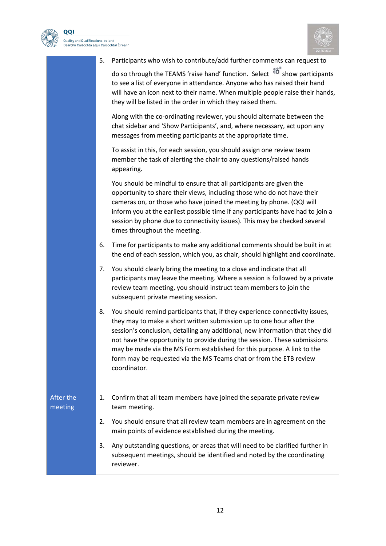



|                      | 5. | Participants who wish to contribute/add further comments can request to                                                                                                                                                                                                                                                                                                                                                                                                             |
|----------------------|----|-------------------------------------------------------------------------------------------------------------------------------------------------------------------------------------------------------------------------------------------------------------------------------------------------------------------------------------------------------------------------------------------------------------------------------------------------------------------------------------|
|                      |    | do so through the TEAMS 'raise hand' function. Select $\overline{60}^*$ show participants<br>to see a list of everyone in attendance. Anyone who has raised their hand<br>will have an icon next to their name. When multiple people raise their hands,<br>they will be listed in the order in which they raised them.                                                                                                                                                              |
|                      |    | Along with the co-ordinating reviewer, you should alternate between the<br>chat sidebar and 'Show Participants', and, where necessary, act upon any<br>messages from meeting participants at the appropriate time.                                                                                                                                                                                                                                                                  |
|                      |    | To assist in this, for each session, you should assign one review team<br>member the task of alerting the chair to any questions/raised hands<br>appearing.                                                                                                                                                                                                                                                                                                                         |
|                      |    | You should be mindful to ensure that all participants are given the<br>opportunity to share their views, including those who do not have their<br>cameras on, or those who have joined the meeting by phone. (QQI will<br>inform you at the earliest possible time if any participants have had to join a<br>session by phone due to connectivity issues). This may be checked several<br>times throughout the meeting.                                                             |
|                      | 6. | Time for participants to make any additional comments should be built in at<br>the end of each session, which you, as chair, should highlight and coordinate.                                                                                                                                                                                                                                                                                                                       |
|                      | 7. | You should clearly bring the meeting to a close and indicate that all<br>participants may leave the meeting. Where a session is followed by a private<br>review team meeting, you should instruct team members to join the<br>subsequent private meeting session.                                                                                                                                                                                                                   |
|                      | 8. | You should remind participants that, if they experience connectivity issues,<br>they may to make a short written submission up to one hour after the<br>session's conclusion, detailing any additional, new information that they did<br>not have the opportunity to provide during the session. These submissions<br>may be made via the MS Form established for this purpose. A link to the<br>form may be requested via the MS Teams chat or from the ETB review<br>coordinator. |
| After the<br>meeting | 1. | Confirm that all team members have joined the separate private review<br>team meeting.                                                                                                                                                                                                                                                                                                                                                                                              |
|                      | 2. | You should ensure that all review team members are in agreement on the<br>main points of evidence established during the meeting.                                                                                                                                                                                                                                                                                                                                                   |
|                      | 3. | Any outstanding questions, or areas that will need to be clarified further in<br>subsequent meetings, should be identified and noted by the coordinating<br>reviewer.                                                                                                                                                                                                                                                                                                               |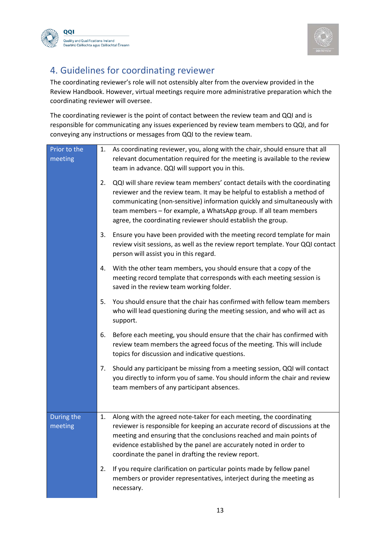



#### <span id="page-12-0"></span>4. Guidelines for coordinating reviewer

The coordinating reviewer's role will not ostensibly alter from the overview provided in the Review Handbook. However, virtual meetings require more administrative preparation which the coordinating reviewer will oversee.

The coordinating reviewer is the point of contact between the review team and QQI and is responsible for communicating any issues experienced by review team members to QQI, and for conveying any instructions or messages from QQI to the review team.

| Prior to the<br>meeting | 1. | As coordinating reviewer, you, along with the chair, should ensure that all<br>relevant documentation required for the meeting is available to the review<br>team in advance. QQI will support you in this.                                                                                                                                                             |
|-------------------------|----|-------------------------------------------------------------------------------------------------------------------------------------------------------------------------------------------------------------------------------------------------------------------------------------------------------------------------------------------------------------------------|
|                         | 2. | QQI will share review team members' contact details with the coordinating<br>reviewer and the review team. It may be helpful to establish a method of<br>communicating (non-sensitive) information quickly and simultaneously with<br>team members - for example, a WhatsApp group. If all team members<br>agree, the coordinating reviewer should establish the group. |
|                         | 3. | Ensure you have been provided with the meeting record template for main<br>review visit sessions, as well as the review report template. Your QQI contact<br>person will assist you in this regard.                                                                                                                                                                     |
|                         | 4. | With the other team members, you should ensure that a copy of the<br>meeting record template that corresponds with each meeting session is<br>saved in the review team working folder.                                                                                                                                                                                  |
|                         | 5. | You should ensure that the chair has confirmed with fellow team members<br>who will lead questioning during the meeting session, and who will act as<br>support.                                                                                                                                                                                                        |
|                         | 6. | Before each meeting, you should ensure that the chair has confirmed with<br>review team members the agreed focus of the meeting. This will include<br>topics for discussion and indicative questions.                                                                                                                                                                   |
|                         | 7. | Should any participant be missing from a meeting session, QQI will contact<br>you directly to inform you of same. You should inform the chair and review<br>team members of any participant absences.                                                                                                                                                                   |
| During the<br>meeting   | 1. | Along with the agreed note-taker for each meeting, the coordinating<br>reviewer is responsible for keeping an accurate record of discussions at the<br>meeting and ensuring that the conclusions reached and main points of<br>evidence established by the panel are accurately noted in order to<br>coordinate the panel in drafting the review report.                |
|                         | 2. | If you require clarification on particular points made by fellow panel<br>members or provider representatives, interject during the meeting as<br>necessary.                                                                                                                                                                                                            |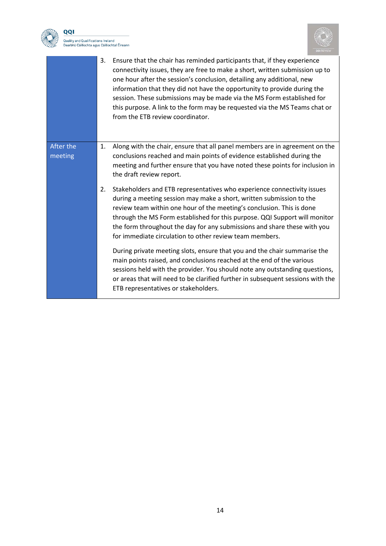

QQI 



|                      | 3. | Ensure that the chair has reminded participants that, if they experience<br>connectivity issues, they are free to make a short, written submission up to<br>one hour after the session's conclusion, detailing any additional, new<br>information that they did not have the opportunity to provide during the<br>session. These submissions may be made via the MS Form established for<br>this purpose. A link to the form may be requested via the MS Teams chat or<br>from the ETB review coordinator. |
|----------------------|----|------------------------------------------------------------------------------------------------------------------------------------------------------------------------------------------------------------------------------------------------------------------------------------------------------------------------------------------------------------------------------------------------------------------------------------------------------------------------------------------------------------|
| After the<br>meeting | 1. | Along with the chair, ensure that all panel members are in agreement on the<br>conclusions reached and main points of evidence established during the<br>meeting and further ensure that you have noted these points for inclusion in<br>the draft review report.                                                                                                                                                                                                                                          |
|                      | 2. | Stakeholders and ETB representatives who experience connectivity issues<br>during a meeting session may make a short, written submission to the<br>review team within one hour of the meeting's conclusion. This is done<br>through the MS Form established for this purpose. QQI Support will monitor<br>the form throughout the day for any submissions and share these with you<br>for immediate circulation to other review team members.                                                              |
|                      |    | During private meeting slots, ensure that you and the chair summarise the<br>main points raised, and conclusions reached at the end of the various<br>sessions held with the provider. You should note any outstanding questions,<br>or areas that will need to be clarified further in subsequent sessions with the<br>ETB representatives or stakeholders.                                                                                                                                               |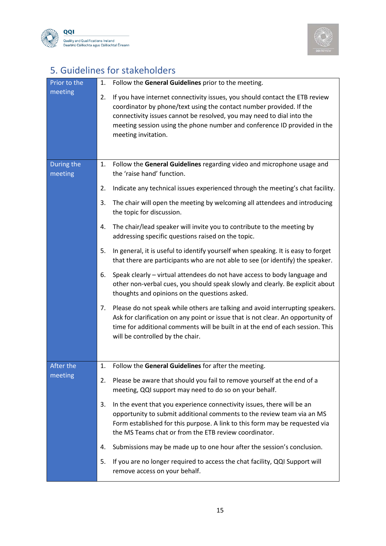



# <span id="page-14-0"></span>5. Guidelines for stakeholders

| Prior to the<br>meeting | 1.<br>2. | Follow the General Guidelines prior to the meeting.<br>If you have internet connectivity issues, you should contact the ETB review<br>coordinator by phone/text using the contact number provided. If the                                                                                |
|-------------------------|----------|------------------------------------------------------------------------------------------------------------------------------------------------------------------------------------------------------------------------------------------------------------------------------------------|
|                         |          | connectivity issues cannot be resolved, you may need to dial into the<br>meeting session using the phone number and conference ID provided in the<br>meeting invitation.                                                                                                                 |
| During the<br>meeting   | 1.       | Follow the General Guidelines regarding video and microphone usage and<br>the 'raise hand' function.                                                                                                                                                                                     |
|                         | 2.       | Indicate any technical issues experienced through the meeting's chat facility.                                                                                                                                                                                                           |
|                         | 3.       | The chair will open the meeting by welcoming all attendees and introducing<br>the topic for discussion.                                                                                                                                                                                  |
|                         | 4.       | The chair/lead speaker will invite you to contribute to the meeting by<br>addressing specific questions raised on the topic.                                                                                                                                                             |
|                         | 5.       | In general, it is useful to identify yourself when speaking. It is easy to forget<br>that there are participants who are not able to see (or identify) the speaker.                                                                                                                      |
|                         | 6.       | Speak clearly - virtual attendees do not have access to body language and<br>other non-verbal cues, you should speak slowly and clearly. Be explicit about<br>thoughts and opinions on the questions asked.                                                                              |
|                         | 7.       | Please do not speak while others are talking and avoid interrupting speakers.<br>Ask for clarification on any point or issue that is not clear. An opportunity of<br>time for additional comments will be built in at the end of each session. This<br>will be controlled by the chair.  |
|                         |          |                                                                                                                                                                                                                                                                                          |
| After the<br>meeting    | 1.       | Follow the General Guidelines for after the meeting.                                                                                                                                                                                                                                     |
|                         | 2.       | Please be aware that should you fail to remove yourself at the end of a<br>meeting, QQI support may need to do so on your behalf.                                                                                                                                                        |
|                         | 3.       | In the event that you experience connectivity issues, there will be an<br>opportunity to submit additional comments to the review team via an MS<br>Form established for this purpose. A link to this form may be requested via<br>the MS Teams chat or from the ETB review coordinator. |
|                         | 4.       | Submissions may be made up to one hour after the session's conclusion.                                                                                                                                                                                                                   |
|                         | 5.       | If you are no longer required to access the chat facility, QQI Support will<br>remove access on your behalf.                                                                                                                                                                             |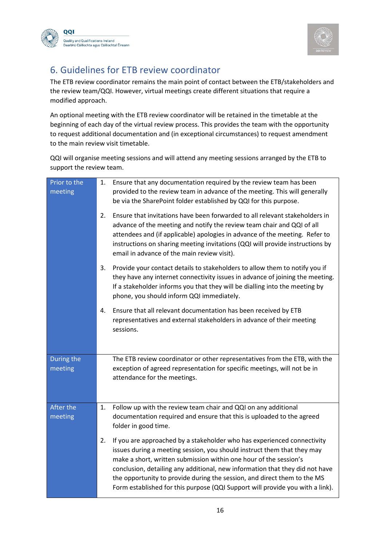



#### <span id="page-15-0"></span>6. Guidelines for ETB review coordinator

The ETB review coordinator remains the main point of contact between the ETB/stakeholders and the review team/QQI. However, virtual meetings create different situations that require a modified approach.

An optional meeting with the ETB review coordinator will be retained in the timetable at the beginning of each day of the virtual review process. This provides the team with the opportunity to request additional documentation and (in exceptional circumstances) to request amendment to the main review visit timetable.

QQI will organise meeting sessions and will attend any meeting sessions arranged by the ETB to support the review team.

| Prior to the<br>meeting | 1. | Ensure that any documentation required by the review team has been<br>provided to the review team in advance of the meeting. This will generally<br>be via the SharePoint folder established by QQI for this purpose.                                                                                                                                                                                                                                                |
|-------------------------|----|----------------------------------------------------------------------------------------------------------------------------------------------------------------------------------------------------------------------------------------------------------------------------------------------------------------------------------------------------------------------------------------------------------------------------------------------------------------------|
|                         | 2. | Ensure that invitations have been forwarded to all relevant stakeholders in<br>advance of the meeting and notify the review team chair and QQI of all<br>attendees and (if applicable) apologies in advance of the meeting. Refer to<br>instructions on sharing meeting invitations (QQI will provide instructions by<br>email in advance of the main review visit).                                                                                                 |
|                         | 3. | Provide your contact details to stakeholders to allow them to notify you if<br>they have any internet connectivity issues in advance of joining the meeting.<br>If a stakeholder informs you that they will be dialling into the meeting by<br>phone, you should inform QQI immediately.                                                                                                                                                                             |
|                         | 4. | Ensure that all relevant documentation has been received by ETB<br>representatives and external stakeholders in advance of their meeting<br>sessions.                                                                                                                                                                                                                                                                                                                |
| During the<br>meeting   |    | The ETB review coordinator or other representatives from the ETB, with the<br>exception of agreed representation for specific meetings, will not be in<br>attendance for the meetings.                                                                                                                                                                                                                                                                               |
| After the<br>meeting    | 1. | Follow up with the review team chair and QQI on any additional<br>documentation required and ensure that this is uploaded to the agreed<br>folder in good time.                                                                                                                                                                                                                                                                                                      |
|                         | 2. | If you are approached by a stakeholder who has experienced connectivity<br>issues during a meeting session, you should instruct them that they may<br>make a short, written submission within one hour of the session's<br>conclusion, detailing any additional, new information that they did not have<br>the opportunity to provide during the session, and direct them to the MS<br>Form established for this purpose (QQI Support will provide you with a link). |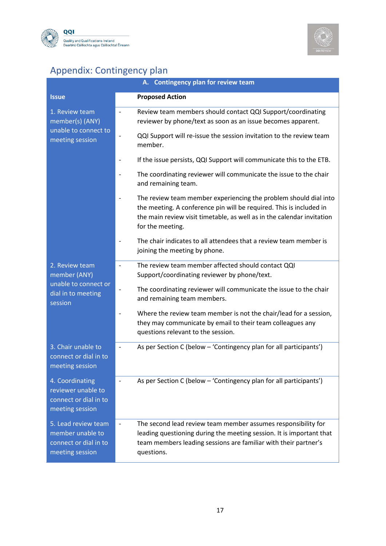



# <span id="page-16-0"></span>Appendix: Contingency plan

| A. Contingency plan for review team                                                 |                                                                                                                                                                                                                                       |  |  |
|-------------------------------------------------------------------------------------|---------------------------------------------------------------------------------------------------------------------------------------------------------------------------------------------------------------------------------------|--|--|
| <b>Issue</b>                                                                        | <b>Proposed Action</b>                                                                                                                                                                                                                |  |  |
| 1. Review team<br>member(s) (ANY)                                                   | Review team members should contact QQI Support/coordinating<br>$\overline{\phantom{a}}$<br>reviewer by phone/text as soon as an issue becomes apparent.                                                                               |  |  |
| unable to connect to<br>meeting session                                             | QQI Support will re-issue the session invitation to the review team<br>$\qquad \qquad -$<br>member.                                                                                                                                   |  |  |
|                                                                                     | If the issue persists, QQI Support will communicate this to the ETB.<br>$\overline{a}$                                                                                                                                                |  |  |
|                                                                                     | The coordinating reviewer will communicate the issue to the chair<br>and remaining team.                                                                                                                                              |  |  |
|                                                                                     | The review team member experiencing the problem should dial into<br>the meeting. A conference pin will be required. This is included in<br>the main review visit timetable, as well as in the calendar invitation<br>for the meeting. |  |  |
|                                                                                     | The chair indicates to all attendees that a review team member is<br>joining the meeting by phone.                                                                                                                                    |  |  |
| 2. Review team<br>member (ANY)                                                      | The review team member affected should contact QQI<br>$\qquad \qquad \blacksquare$<br>Support/coordinating reviewer by phone/text.                                                                                                    |  |  |
| unable to connect or<br>dial in to meeting<br>session                               | The coordinating reviewer will communicate the issue to the chair<br>$\qquad \qquad \blacksquare$<br>and remaining team members.                                                                                                      |  |  |
|                                                                                     | Where the review team member is not the chair/lead for a session,<br>they may communicate by email to their team colleagues any<br>questions relevant to the session.                                                                 |  |  |
| 3. Chair unable to<br>connect or dial in to<br>meeting session                      | As per Section C (below - 'Contingency plan for all participants')<br>$\qquad \qquad -$                                                                                                                                               |  |  |
| 4. Coordinating<br>reviewer unable to<br>connect or dial in to<br>meeting session   | As per Section C (below - 'Contingency plan for all participants')                                                                                                                                                                    |  |  |
| 5. Lead review team<br>member unable to<br>connect or dial in to<br>meeting session | The second lead review team member assumes responsibility for<br>leading questioning during the meeting session. It is important that<br>team members leading sessions are familiar with their partner's<br>questions.                |  |  |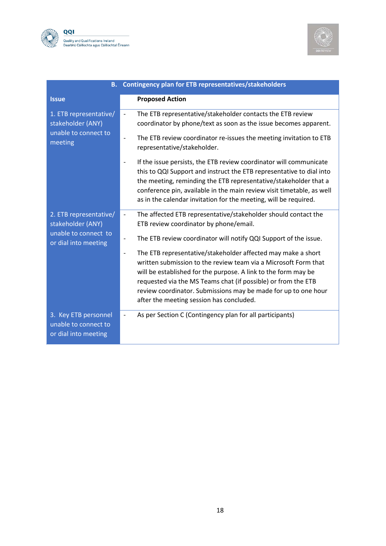



| <b>B.</b>                                                                      | Contingency plan for ETB representatives/stakeholders                                                                                                                                                                                                                                                                                                                                                        |
|--------------------------------------------------------------------------------|--------------------------------------------------------------------------------------------------------------------------------------------------------------------------------------------------------------------------------------------------------------------------------------------------------------------------------------------------------------------------------------------------------------|
| <b>Issue</b>                                                                   | <b>Proposed Action</b>                                                                                                                                                                                                                                                                                                                                                                                       |
| 1. ETB representative/<br>stakeholder (ANY)<br>unable to connect to<br>meeting | The ETB representative/stakeholder contacts the ETB review<br>$\frac{1}{2}$<br>coordinator by phone/text as soon as the issue becomes apparent.                                                                                                                                                                                                                                                              |
|                                                                                | The ETB review coordinator re-issues the meeting invitation to ETB<br>$\overline{\phantom{a}}$<br>representative/stakeholder.                                                                                                                                                                                                                                                                                |
|                                                                                | If the issue persists, the ETB review coordinator will communicate<br>$\overline{\phantom{a}}$<br>this to QQI Support and instruct the ETB representative to dial into<br>the meeting, reminding the ETB representative/stakeholder that a<br>conference pin, available in the main review visit timetable, as well<br>as in the calendar invitation for the meeting, will be required.                      |
| 2. ETB representative/<br>stakeholder (ANY)                                    | The affected ETB representative/stakeholder should contact the<br>$\overline{\phantom{a}}$<br>ETB review coordinator by phone/email.                                                                                                                                                                                                                                                                         |
| unable to connect to<br>or dial into meeting                                   | The ETB review coordinator will notify QQI Support of the issue.<br>$\overline{\phantom{a}}$                                                                                                                                                                                                                                                                                                                 |
|                                                                                | The ETB representative/stakeholder affected may make a short<br>$\overline{\phantom{a}}$<br>written submission to the review team via a Microsoft Form that<br>will be established for the purpose. A link to the form may be<br>requested via the MS Teams chat (if possible) or from the ETB<br>review coordinator. Submissions may be made for up to one hour<br>after the meeting session has concluded. |
| 3. Key ETB personnel<br>unable to connect to<br>or dial into meeting           | As per Section C (Contingency plan for all participants)                                                                                                                                                                                                                                                                                                                                                     |